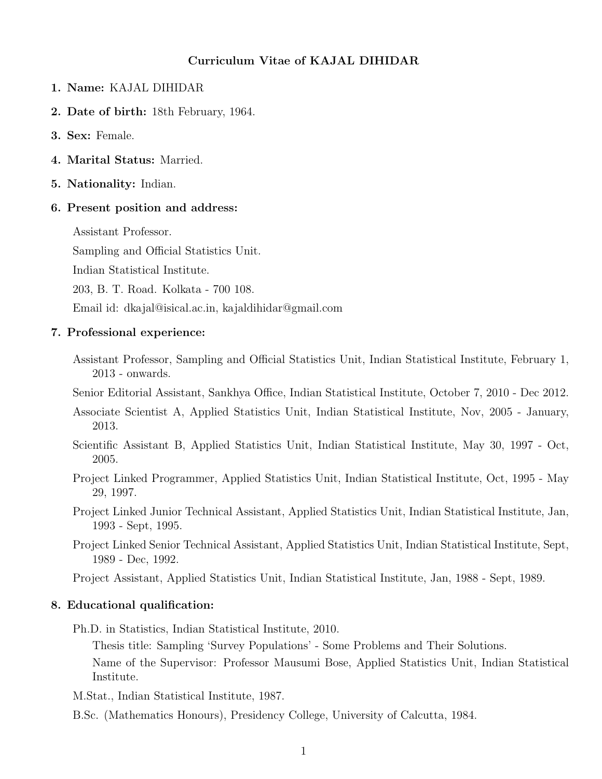### Curriculum Vitae of KAJAL DIHIDAR

- 1. Name: KAJAL DIHIDAR
- 2. Date of birth: 18th February, 1964.
- 3. Sex: Female.
- 4. Marital Status: Married.
- 5. Nationality: Indian.

#### 6. Present position and address:

Assistant Professor.

Sampling and Official Statistics Unit.

Indian Statistical Institute.

203, B. T. Road. Kolkata - 700 108.

Email id: dkajal@isical.ac.in, kajaldihidar@gmail.com

#### 7. Professional experience:

Assistant Professor, Sampling and Official Statistics Unit, Indian Statistical Institute, February 1, 2013 - onwards.

Senior Editorial Assistant, Sankhya Office, Indian Statistical Institute, October 7, 2010 - Dec 2012.

- Associate Scientist A, Applied Statistics Unit, Indian Statistical Institute, Nov, 2005 January, 2013.
- Scientific Assistant B, Applied Statistics Unit, Indian Statistical Institute, May 30, 1997 Oct, 2005.
- Project Linked Programmer, Applied Statistics Unit, Indian Statistical Institute, Oct, 1995 May 29, 1997.
- Project Linked Junior Technical Assistant, Applied Statistics Unit, Indian Statistical Institute, Jan, 1993 - Sept, 1995.
- Project Linked Senior Technical Assistant, Applied Statistics Unit, Indian Statistical Institute, Sept, 1989 - Dec, 1992.

Project Assistant, Applied Statistics Unit, Indian Statistical Institute, Jan, 1988 - Sept, 1989.

### 8. Educational qualification:

Ph.D. in Statistics, Indian Statistical Institute, 2010.

Thesis title: Sampling 'Survey Populations' - Some Problems and Their Solutions. Name of the Supervisor: Professor Mausumi Bose, Applied Statistics Unit, Indian Statistical Institute.

- M.Stat., Indian Statistical Institute, 1987.
- B.Sc. (Mathematics Honours), Presidency College, University of Calcutta, 1984.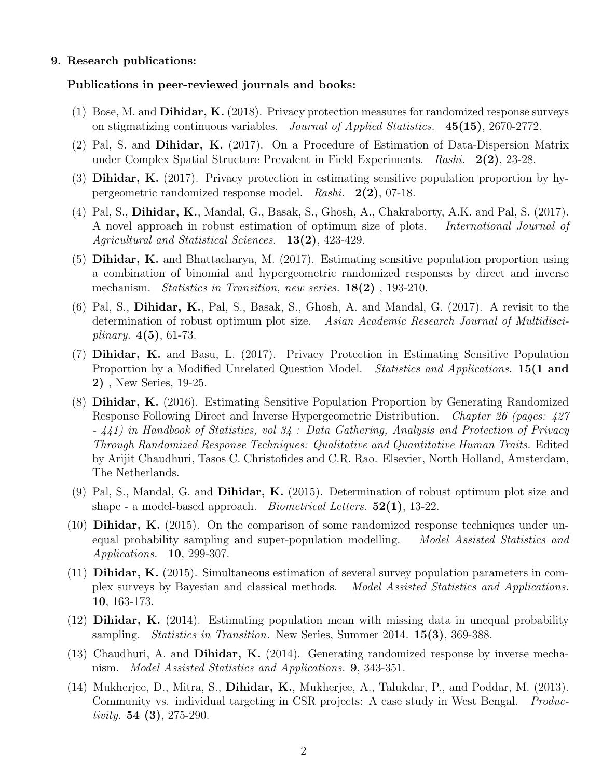#### 9. Research publications:

#### Publications in peer-reviewed journals and books:

- $(1)$  Bose, M. and **Dihidar, K.** (2018). Privacy protection measures for randomized response surveys on stigmatizing continuous variables. Journal of Applied Statistics. 45(15), 2670-2772.
- (2) Pal, S. and Dihidar, K. (2017). On a Procedure of Estimation of Data-Dispersion Matrix under Complex Spatial Structure Prevalent in Field Experiments. Rashi. 2(2), 23-28.
- (3) Dihidar, K. (2017). Privacy protection in estimating sensitive population proportion by hypergeometric randomized response model. Rashi. 2(2), 07-18.
- (4) Pal, S., Dihidar, K., Mandal, G., Basak, S., Ghosh, A., Chakraborty, A.K. and Pal, S. (2017). A novel approach in robust estimation of optimum size of plots. International Journal of Agricultural and Statistical Sciences. **13(2)**, 423-429.
- (5) Dihidar, K. and Bhattacharya, M. (2017). Estimating sensitive population proportion using a combination of binomial and hypergeometric randomized responses by direct and inverse mechanism. *Statistics in Transition, new series.* **18(2)**, **193-210**.
- (6) Pal, S., Dihidar, K., Pal, S., Basak, S., Ghosh, A. and Mandal, G. (2017). A revisit to the determination of robust optimum plot size. Asian Academic Research Journal of Multidisci*plinary.*  $4(5)$ , 61-73.
- (7) Dihidar, K. and Basu, L. (2017). Privacy Protection in Estimating Sensitive Population Proportion by a Modified Unrelated Question Model. *Statistics and Applications*. 15(1 and 2) , New Series, 19-25.
- (8) Dihidar, K. (2016). Estimating Sensitive Population Proportion by Generating Randomized Response Following Direct and Inverse Hypergeometric Distribution. Chapter 26 (pages: 427 - 441) in Handbook of Statistics, vol 34 : Data Gathering, Analysis and Protection of Privacy Through Randomized Response Techniques: Qualitative and Quantitative Human Traits. Edited by Arijit Chaudhuri, Tasos C. Christofides and C.R. Rao. Elsevier, North Holland, Amsterdam, The Netherlands.
- (9) Pal, S., Mandal, G. and Dihidar, K. (2015). Determination of robust optimum plot size and shape - a model-based approach. *Biometrical Letters.*  $52(1)$ , 13-22.
- (10) Dihidar, K. (2015). On the comparison of some randomized response techniques under unequal probability sampling and super-population modelling. Model Assisted Statistics and Applications. 10, 299-307.
- (11) Dihidar, K. (2015). Simultaneous estimation of several survey population parameters in complex surveys by Bayesian and classical methods. Model Assisted Statistics and Applications. 10, 163-173.
- (12) Dihidar, K. (2014). Estimating population mean with missing data in unequal probability sampling. *Statistics in Transition*. New Series, Summer 2014. **15(3)**, 369-388.
- (13) Chaudhuri, A. and Dihidar, K. (2014). Generating randomized response by inverse mechanism. Model Assisted Statistics and Applications. **9**, 343-351.
- (14) Mukherjee, D., Mitra, S., Dihidar, K., Mukherjee, A., Talukdar, P., and Poddar, M. (2013). Community vs. individual targeting in CSR projects: A case study in West Bengal. *Produc*tivity.  $54$  (3), 275-290.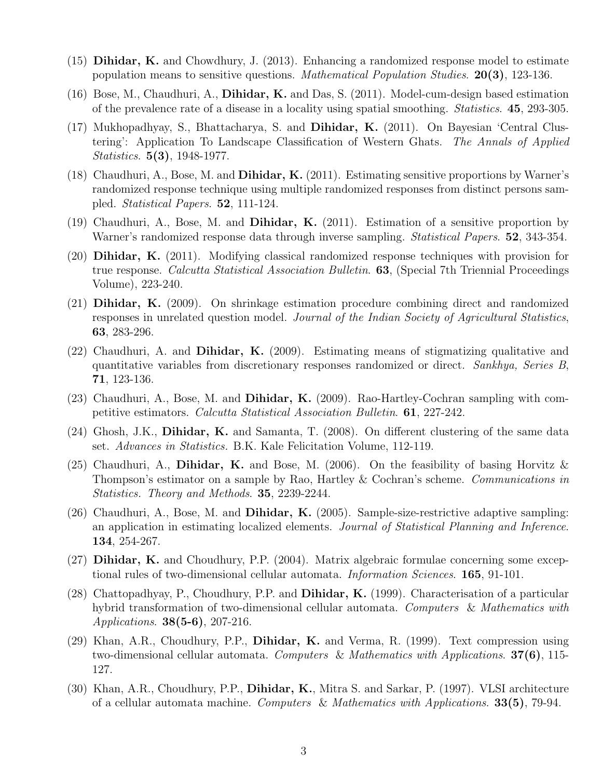- (15) Dihidar, K. and Chowdhury, J. (2013). Enhancing a randomized response model to estimate population means to sensitive questions. *Mathematical Population Studies*.  $20(3)$ , 123-136.
- $(16)$  Bose, M., Chaudhuri, A., **Dihidar, K.** and Das, S.  $(2011)$ . Model-cum-design based estimation of the prevalence rate of a disease in a locality using spatial smoothing. Statistics. 45, 293-305.
- (17) Mukhopadhyay, S., Bhattacharya, S. and Dihidar, K. (2011). On Bayesian 'Central Clustering': Application To Landscape Classification of Western Ghats. The Annals of Applied Statistics. 5(3), 1948-1977.
- (18) Chaudhuri, A., Bose, M. and Dihidar, K. (2011). Estimating sensitive proportions by Warner's randomized response technique using multiple randomized responses from distinct persons sampled. Statistical Papers. 52, 111-124.
- (19) Chaudhuri, A., Bose, M. and Dihidar, K. (2011). Estimation of a sensitive proportion by Warner's randomized response data through inverse sampling. *Statistical Papers*. **52**, 343-354.
- (20) Dihidar, K. (2011). Modifying classical randomized response techniques with provision for true response. Calcutta Statistical Association Bulletin. **63**, (Special 7th Triennial Proceedings Volume), 223-240.
- (21) Dihidar, K. (2009). On shrinkage estimation procedure combining direct and randomized responses in unrelated question model. Journal of the Indian Society of Agricultural Statistics, 63, 283-296.
- (22) Chaudhuri, A. and Dihidar, K. (2009). Estimating means of stigmatizing qualitative and quantitative variables from discretionary responses randomized or direct. Sankhya, Series B, 71, 123-136.
- (23) Chaudhuri, A., Bose, M. and Dihidar, K. (2009). Rao-Hartley-Cochran sampling with competitive estimators. Calcutta Statistical Association Bulletin. 61, 227-242.
- (24) Ghosh, J.K., Dihidar, K. and Samanta, T. (2008). On different clustering of the same data set. Advances in Statistics. B.K. Kale Felicitation Volume, 112-119.
- (25) Chaudhuri, A., Dihidar, K. and Bose, M. (2006). On the feasibility of basing Horvitz  $\&$ Thompson's estimator on a sample by Rao, Hartley & Cochran's scheme. Communications in Statistics. Theory and Methods. 35, 2239-2244.
- (26) Chaudhuri, A., Bose, M. and Dihidar, K. (2005). Sample-size-restrictive adaptive sampling: an application in estimating localized elements. Journal of Statistical Planning and Inference. 134, 254-267.
- (27) Dihidar, K. and Choudhury, P.P. (2004). Matrix algebraic formulae concerning some exceptional rules of two-dimensional cellular automata. Information Sciences. 165, 91-101.
- (28) Chattopadhyay, P., Choudhury, P.P. and Dihidar, K. (1999). Characterisation of a particular hybrid transformation of two-dimensional cellular automata. Computers & Mathematics with Applications. 38(5-6), 207-216.
- (29) Khan, A.R., Choudhury, P.P., Dihidar, K. and Verma, R. (1999). Text compression using two-dimensional cellular automata. Computers & Mathematics with Applications. **37(6)**, 115-127.
- (30) Khan, A.R., Choudhury, P.P., Dihidar, K., Mitra S. and Sarkar, P. (1997). VLSI architecture of a cellular automata machine. Computers & Mathematics with Applications.  $33(5)$ , 79-94.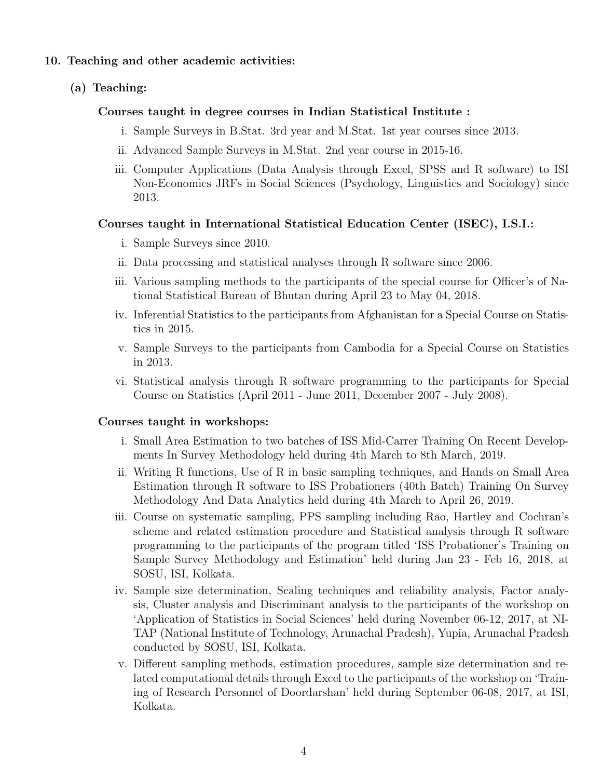### 10. Teaching and other academic activities:

## (a) Teaching:

## Courses taught in degree courses in Indian Statistical Institute :

- i. Sample Surveys in B.Stat. 3rd year and M.Stat. 1st year courses since 2013.
- ii. Advanced Sample Surveys in M.Stat. 2nd year course in 2015-16.
- iii. Computer Applications (Data Analysis through Excel, SPSS and R software) to ISI Non-Economics JRFs in Social Sciences (Psychology, Linguistics and Sociology) since 2013.

# Courses taught in International Statistical Education Center (ISEC), I.S.I.:

- i. Sample Surveys since 2010.
- ii. Data processing and statistical analyses through R software since 2006.
- iii. Various sampling methods to the participants of the special course for Officer's of National Statistical Bureau of Bhutan during April 23 to May 04, 2018.
- iv. Inferential Statistics to the participants from Afghanistan for a Special Course on Statistics in 2015.
- v. Sample Surveys to the participants from Cambodia for a Special Course on Statistics in 2013.
- vi. Statistical analysis through R software programming to the participants for Special Course on Statistics (April 2011 - June 2011, December 2007 - July 2008).

## Courses taught in workshops:

- i. Small Area Estimation to two batches of ISS Mid-Carrer Training On Recent Developments In Survey Methodology held during 4th March to 8th March, 2019.
- ii. Writing R functions, Use of R in basic sampling techniques, and Hands on Small Area Estimation through R software to ISS Probationers (40th Batch) Training On Survey Methodology And Data Analytics held during 4th March to April 26, 2019.
- iii. Course on systematic sampling, PPS sampling including Rao, Hartley and Cochran's scheme and related estimation procedure and Statistical analysis through R software programming to the participants of the program titled 'ISS Probationer's Training on Sample Survey Methodology and Estimation' held during Jan 23 - Feb 16, 2018, at SOSU, ISI, Kolkata.
- iv. Sample size determination, Scaling techniques and reliability analysis, Factor analysis, Cluster analysis and Discriminant analysis to the participants of the workshop on 'Application of Statistics in Social Sciences' held during November 06-12, 2017, at NI-TAP (National Institute of Technology, Arunachal Pradesh), Yupia, Arunachal Pradesh conducted by SOSU, ISI, Kolkata.
- v. Different sampling methods, estimation procedures, sample size determination and related computational details through Excel to the participants of the workshop on 'Training of Research Personnel of Doordarshan' held during September 06-08, 2017, at ISI, Kolkata.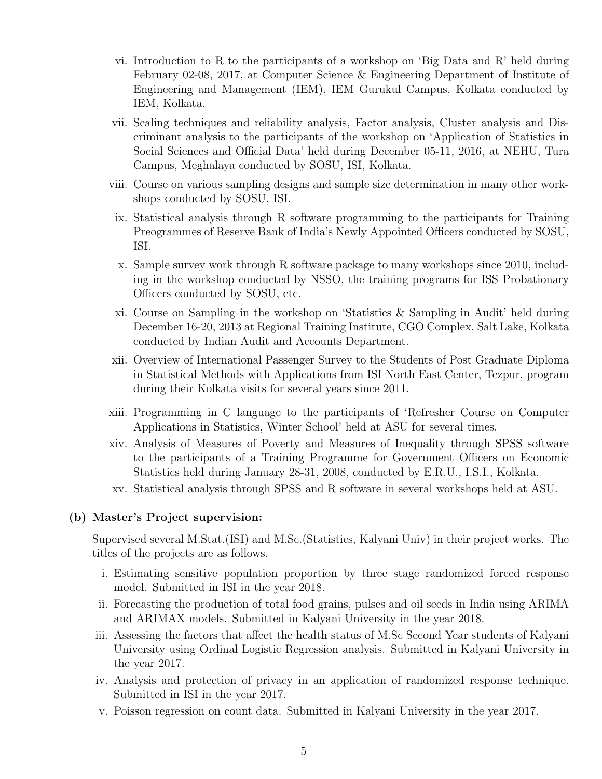- vi. Introduction to R to the participants of a workshop on 'Big Data and R' held during February 02-08, 2017, at Computer Science & Engineering Department of Institute of Engineering and Management (IEM), IEM Gurukul Campus, Kolkata conducted by IEM, Kolkata.
- vii. Scaling techniques and reliability analysis, Factor analysis, Cluster analysis and Discriminant analysis to the participants of the workshop on 'Application of Statistics in Social Sciences and Official Data' held during December 05-11, 2016, at NEHU, Tura Campus, Meghalaya conducted by SOSU, ISI, Kolkata.
- viii. Course on various sampling designs and sample size determination in many other workshops conducted by SOSU, ISI.
- ix. Statistical analysis through R software programming to the participants for Training Preogrammes of Reserve Bank of India's Newly Appointed Officers conducted by SOSU, ISI.
- x. Sample survey work through R software package to many workshops since 2010, including in the workshop conducted by NSSO, the training programs for ISS Probationary Officers conducted by SOSU, etc.
- xi. Course on Sampling in the workshop on 'Statistics & Sampling in Audit' held during December 16-20, 2013 at Regional Training Institute, CGO Complex, Salt Lake, Kolkata conducted by Indian Audit and Accounts Department.
- xii. Overview of International Passenger Survey to the Students of Post Graduate Diploma in Statistical Methods with Applications from ISI North East Center, Tezpur, program during their Kolkata visits for several years since 2011.
- xiii. Programming in C language to the participants of 'Refresher Course on Computer Applications in Statistics, Winter School' held at ASU for several times.
- xiv. Analysis of Measures of Poverty and Measures of Inequality through SPSS software to the participants of a Training Programme for Government Officers on Economic Statistics held during January 28-31, 2008, conducted by E.R.U., I.S.I., Kolkata.
- xv. Statistical analysis through SPSS and R software in several workshops held at ASU.

## (b) Master's Project supervision:

Supervised several M.Stat.(ISI) and M.Sc.(Statistics, Kalyani Univ) in their project works. The titles of the projects are as follows.

- i. Estimating sensitive population proportion by three stage randomized forced response model. Submitted in ISI in the year 2018.
- ii. Forecasting the production of total food grains, pulses and oil seeds in India using ARIMA and ARIMAX models. Submitted in Kalyani University in the year 2018.
- iii. Assessing the factors that affect the health status of M.Sc Second Year students of Kalyani University using Ordinal Logistic Regression analysis. Submitted in Kalyani University in the year 2017.
- iv. Analysis and protection of privacy in an application of randomized response technique. Submitted in ISI in the year 2017.
- v. Poisson regression on count data. Submitted in Kalyani University in the year 2017.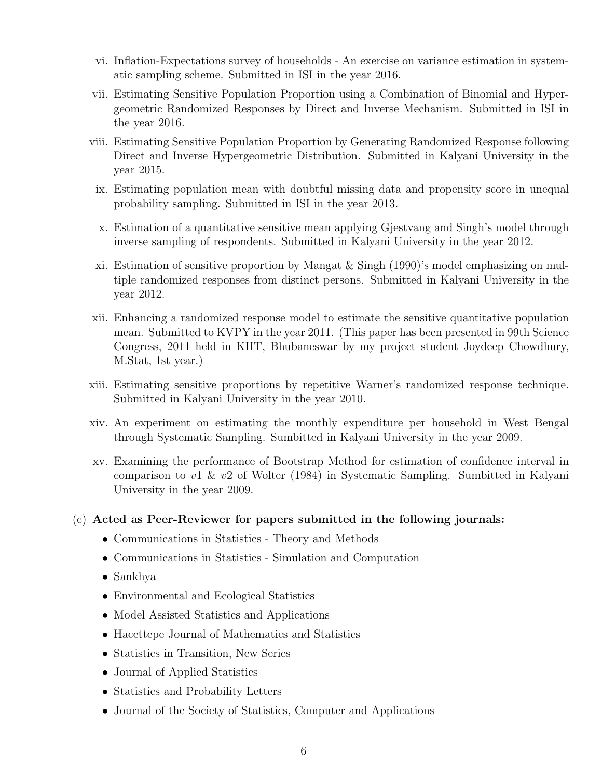- vi. Inflation-Expectations survey of households An exercise on variance estimation in systematic sampling scheme. Submitted in ISI in the year 2016.
- vii. Estimating Sensitive Population Proportion using a Combination of Binomial and Hypergeometric Randomized Responses by Direct and Inverse Mechanism. Submitted in ISI in the year 2016.
- viii. Estimating Sensitive Population Proportion by Generating Randomized Response following Direct and Inverse Hypergeometric Distribution. Submitted in Kalyani University in the year 2015.
- ix. Estimating population mean with doubtful missing data and propensity score in unequal probability sampling. Submitted in ISI in the year 2013.
- x. Estimation of a quantitative sensitive mean applying Gjestvang and Singh's model through inverse sampling of respondents. Submitted in Kalyani University in the year 2012.
- xi. Estimation of sensitive proportion by Mangat  $&$  Singh (1990)'s model emphasizing on multiple randomized responses from distinct persons. Submitted in Kalyani University in the year 2012.
- xii. Enhancing a randomized response model to estimate the sensitive quantitative population mean. Submitted to KVPY in the year 2011. (This paper has been presented in 99th Science Congress, 2011 held in KIIT, Bhubaneswar by my project student Joydeep Chowdhury, M.Stat, 1st year.)
- xiii. Estimating sensitive proportions by repetitive Warner's randomized response technique. Submitted in Kalyani University in the year 2010.
- xiv. An experiment on estimating the monthly expenditure per household in West Bengal through Systematic Sampling. Sumbitted in Kalyani University in the year 2009.
- xv. Examining the performance of Bootstrap Method for estimation of confidence interval in comparison to v1 & v2 of Wolter (1984) in Systematic Sampling. Sumbitted in Kalyani University in the year 2009.

## (c) Acted as Peer-Reviewer for papers submitted in the following journals:

- Communications in Statistics Theory and Methods
- Communications in Statistics Simulation and Computation
- Sankhya
- Environmental and Ecological Statistics
- Model Assisted Statistics and Applications
- Hacettepe Journal of Mathematics and Statistics
- Statistics in Transition, New Series
- Journal of Applied Statistics
- Statistics and Probability Letters
- Journal of the Society of Statistics, Computer and Applications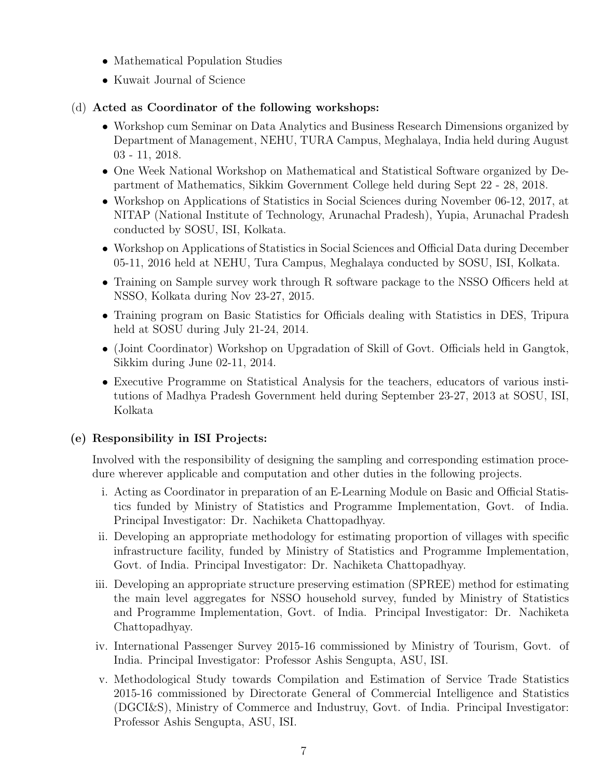- Mathematical Population Studies
- Kuwait Journal of Science

# (d) Acted as Coordinator of the following workshops:

- Workshop cum Seminar on Data Analytics and Business Research Dimensions organized by Department of Management, NEHU, TURA Campus, Meghalaya, India held during August 03 - 11, 2018.
- One Week National Workshop on Mathematical and Statistical Software organized by Department of Mathematics, Sikkim Government College held during Sept 22 - 28, 2018.
- Workshop on Applications of Statistics in Social Sciences during November 06-12, 2017, at NITAP (National Institute of Technology, Arunachal Pradesh), Yupia, Arunachal Pradesh conducted by SOSU, ISI, Kolkata.
- Workshop on Applications of Statistics in Social Sciences and Official Data during December 05-11, 2016 held at NEHU, Tura Campus, Meghalaya conducted by SOSU, ISI, Kolkata.
- Training on Sample survey work through R software package to the NSSO Officers held at NSSO, Kolkata during Nov 23-27, 2015.
- Training program on Basic Statistics for Officials dealing with Statistics in DES, Tripura held at SOSU during July 21-24, 2014.
- (Joint Coordinator) Workshop on Upgradation of Skill of Govt. Officials held in Gangtok, Sikkim during June 02-11, 2014.
- Executive Programme on Statistical Analysis for the teachers, educators of various institutions of Madhya Pradesh Government held during September 23-27, 2013 at SOSU, ISI, Kolkata

# (e) Responsibility in ISI Projects:

Involved with the responsibility of designing the sampling and corresponding estimation procedure wherever applicable and computation and other duties in the following projects.

- i. Acting as Coordinator in preparation of an E-Learning Module on Basic and Official Statistics funded by Ministry of Statistics and Programme Implementation, Govt. of India. Principal Investigator: Dr. Nachiketa Chattopadhyay.
- ii. Developing an appropriate methodology for estimating proportion of villages with specific infrastructure facility, funded by Ministry of Statistics and Programme Implementation, Govt. of India. Principal Investigator: Dr. Nachiketa Chattopadhyay.
- iii. Developing an appropriate structure preserving estimation (SPREE) method for estimating the main level aggregates for NSSO household survey, funded by Ministry of Statistics and Programme Implementation, Govt. of India. Principal Investigator: Dr. Nachiketa Chattopadhyay.
- iv. International Passenger Survey 2015-16 commissioned by Ministry of Tourism, Govt. of India. Principal Investigator: Professor Ashis Sengupta, ASU, ISI.
- v. Methodological Study towards Compilation and Estimation of Service Trade Statistics 2015-16 commissioned by Directorate General of Commercial Intelligence and Statistics (DGCI&S), Ministry of Commerce and Industruy, Govt. of India. Principal Investigator: Professor Ashis Sengupta, ASU, ISI.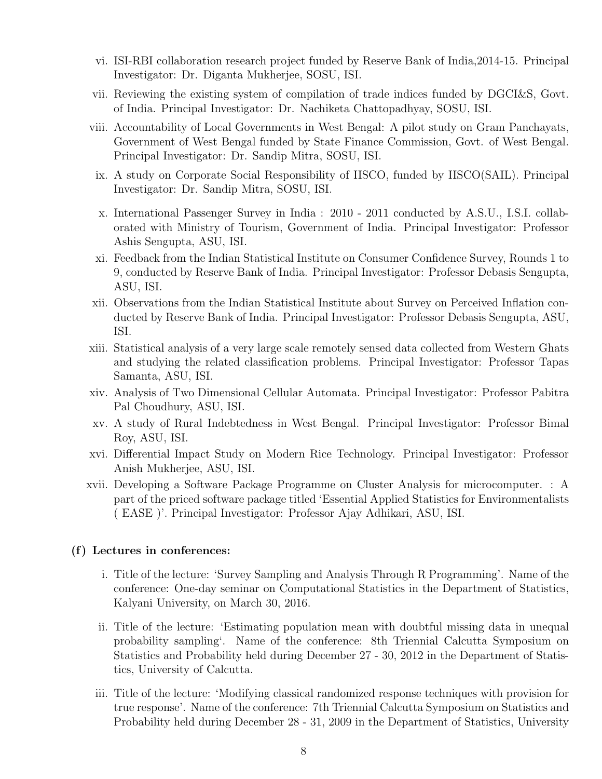- vi. ISI-RBI collaboration research project funded by Reserve Bank of India,2014-15. Principal Investigator: Dr. Diganta Mukherjee, SOSU, ISI.
- vii. Reviewing the existing system of compilation of trade indices funded by DGCI&S, Govt. of India. Principal Investigator: Dr. Nachiketa Chattopadhyay, SOSU, ISI.
- viii. Accountability of Local Governments in West Bengal: A pilot study on Gram Panchayats, Government of West Bengal funded by State Finance Commission, Govt. of West Bengal. Principal Investigator: Dr. Sandip Mitra, SOSU, ISI.
- ix. A study on Corporate Social Responsibility of IISCO, funded by IISCO(SAIL). Principal Investigator: Dr. Sandip Mitra, SOSU, ISI.
- x. International Passenger Survey in India : 2010 2011 conducted by A.S.U., I.S.I. collaborated with Ministry of Tourism, Government of India. Principal Investigator: Professor Ashis Sengupta, ASU, ISI.
- xi. Feedback from the Indian Statistical Institute on Consumer Confidence Survey, Rounds 1 to 9, conducted by Reserve Bank of India. Principal Investigator: Professor Debasis Sengupta, ASU, ISI.
- xii. Observations from the Indian Statistical Institute about Survey on Perceived Inflation conducted by Reserve Bank of India. Principal Investigator: Professor Debasis Sengupta, ASU, ISI.
- xiii. Statistical analysis of a very large scale remotely sensed data collected from Western Ghats and studying the related classification problems. Principal Investigator: Professor Tapas Samanta, ASU, ISI.
- xiv. Analysis of Two Dimensional Cellular Automata. Principal Investigator: Professor Pabitra Pal Choudhury, ASU, ISI.
- xv. A study of Rural Indebtedness in West Bengal. Principal Investigator: Professor Bimal Roy, ASU, ISI.
- xvi. Differential Impact Study on Modern Rice Technology. Principal Investigator: Professor Anish Mukherjee, ASU, ISI.
- xvii. Developing a Software Package Programme on Cluster Analysis for microcomputer. : A part of the priced software package titled 'Essential Applied Statistics for Environmentalists ( EASE )'. Principal Investigator: Professor Ajay Adhikari, ASU, ISI.

## (f) Lectures in conferences:

- i. Title of the lecture: 'Survey Sampling and Analysis Through R Programming'. Name of the conference: One-day seminar on Computational Statistics in the Department of Statistics, Kalyani University, on March 30, 2016.
- ii. Title of the lecture: 'Estimating population mean with doubtful missing data in unequal probability sampling'. Name of the conference: 8th Triennial Calcutta Symposium on Statistics and Probability held during December 27 - 30, 2012 in the Department of Statistics, University of Calcutta.
- iii. Title of the lecture: 'Modifying classical randomized response techniques with provision for true response'. Name of the conference: 7th Triennial Calcutta Symposium on Statistics and Probability held during December 28 - 31, 2009 in the Department of Statistics, University